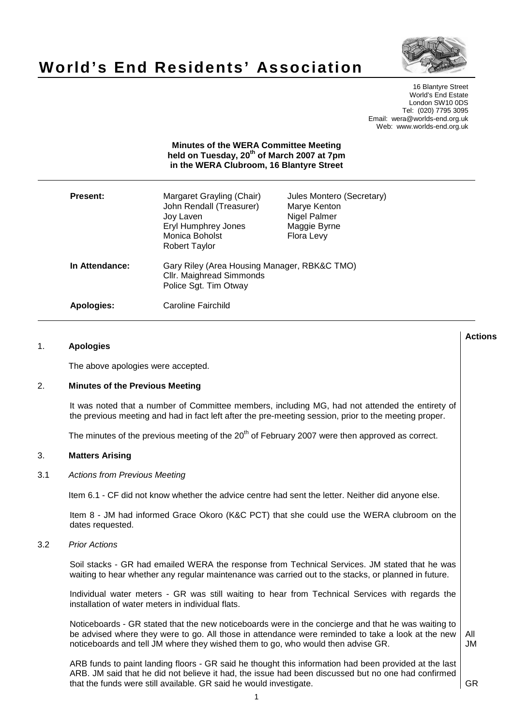

# **World's End Residents' Association**

16 Blantyre Street World's End Estate London SW10 0DS Tel: (020) 7795 3095 Email: wera@worlds-end.org.uk Web: www.worlds-end.org.uk

| <b>Minutes of the WERA Committee Meeting</b><br>held on Tuesday, 20 <sup>th</sup> of March 2007 at 7pm<br>in the WERA Clubroom, 16 Blantyre Street |                                                                                                                                     |                                                                                         |
|----------------------------------------------------------------------------------------------------------------------------------------------------|-------------------------------------------------------------------------------------------------------------------------------------|-----------------------------------------------------------------------------------------|
| <b>Present:</b>                                                                                                                                    | Margaret Grayling (Chair)<br>John Rendall (Treasurer)<br>Joy Laven<br><b>Eryl Humphrey Jones</b><br>Monica Boholst<br>Robert Taylor | Jules Montero (Secretary)<br>Marye Kenton<br>Nigel Palmer<br>Maggie Byrne<br>Flora Levy |
| In Attendance:                                                                                                                                     | Gary Riley (Area Housing Manager, RBK&C TMO)<br>Cllr. Maighread Simmonds<br>Police Sgt. Tim Otway                                   |                                                                                         |
| Apologies:                                                                                                                                         | Caroline Fairchild                                                                                                                  |                                                                                         |

# 1. **Apologies**

The above apologies were accepted.

#### 2. **Minutes of the Previous Meeting**

It was noted that a number of Committee members, including MG, had not attended the entirety of the previous meeting and had in fact left after the pre-meeting session, prior to the meeting proper.

The minutes of the previous meeting of the 20<sup>th</sup> of February 2007 were then approved as correct.

## 3. **Matters Arising**

## 3.1 Actions from Previous Meeting

Item 6.1 - CF did not know whether the advice centre had sent the letter. Neither did anyone else.

Item 8 - JM had informed Grace Okoro (K&C PCT) that she could use the WERA clubroom on the dates requested.

#### 3.2 Prior Actions

Soil stacks - GR had emailed WERA the response from Technical Services. JM stated that he was waiting to hear whether any regular maintenance was carried out to the stacks, or planned in future.

Individual water meters - GR was still waiting to hear from Technical Services with regards the installation of water meters in individual flats.

Noticeboards - GR stated that the new noticeboards were in the concierge and that he was waiting to be advised where they were to go. All those in attendance were reminded to take a look at the new noticeboards and tell JM where they wished them to go, who would then advise GR.

All JM

GR

**Actions**

ARB funds to paint landing floors - GR said he thought this information had been provided at the last ARB. JM said that he did not believe it had, the issue had been discussed but no one had confirmed that the funds were still available. GR said he would investigate.

1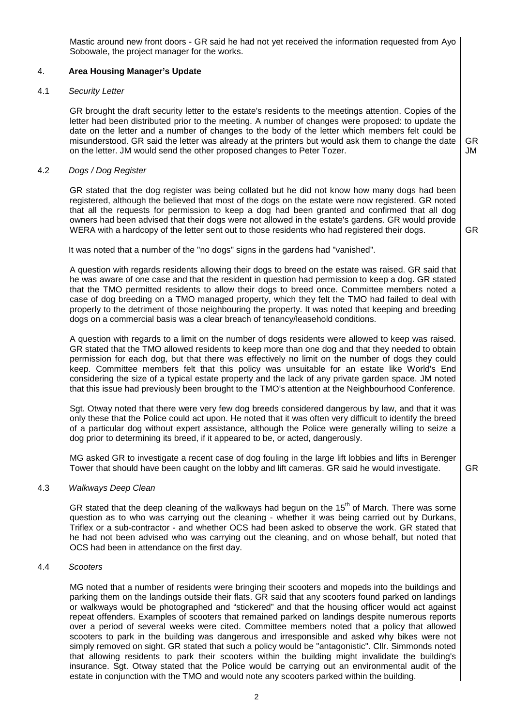Mastic around new front doors - GR said he had not yet received the information requested from Ayo Sobowale, the project manager for the works.

# 4. **Area Housing Manager's Update**

### 4.1 Security Letter

GR brought the draft security letter to the estate's residents to the meetings attention. Copies of the letter had been distributed prior to the meeting. A number of changes were proposed: to update the date on the letter and a number of changes to the body of the letter which members felt could be misunderstood. GR said the letter was already at the printers but would ask them to change the date on the letter. JM would send the other proposed changes to Peter Tozer.

GR JM

GR

GR

### 4.2 Dogs / Dog Register

GR stated that the dog register was being collated but he did not know how many dogs had been registered, although the believed that most of the dogs on the estate were now registered. GR noted that all the requests for permission to keep a dog had been granted and confirmed that all dog owners had been advised that their dogs were not allowed in the estate's gardens. GR would provide WERA with a hardcopy of the letter sent out to those residents who had registered their dogs.

It was noted that a number of the "no dogs" signs in the gardens had "vanished".

A question with regards residents allowing their dogs to breed on the estate was raised. GR said that he was aware of one case and that the resident in question had permission to keep a dog. GR stated that the TMO permitted residents to allow their dogs to breed once. Committee members noted a case of dog breeding on a TMO managed property, which they felt the TMO had failed to deal with properly to the detriment of those neighbouring the property. It was noted that keeping and breeding dogs on a commercial basis was a clear breach of tenancy/leasehold conditions.

A question with regards to a limit on the number of dogs residents were allowed to keep was raised. GR stated that the TMO allowed residents to keep more than one dog and that they needed to obtain permission for each dog, but that there was effectively no limit on the number of dogs they could keep. Committee members felt that this policy was unsuitable for an estate like World's End considering the size of a typical estate property and the lack of any private garden space. JM noted that this issue had previously been brought to the TMO's attention at the Neighbourhood Conference.

Sgt. Otway noted that there were very few dog breeds considered dangerous by law, and that it was only these that the Police could act upon. He noted that it was often very difficult to identify the breed of a particular dog without expert assistance, although the Police were generally willing to seize a dog prior to determining its breed, if it appeared to be, or acted, dangerously.

MG asked GR to investigate a recent case of dog fouling in the large lift lobbies and lifts in Berenger Tower that should have been caught on the lobby and lift cameras. GR said he would investigate.

#### 4.3 Walkways Deep Clean

GR stated that the deep cleaning of the walkways had begun on the  $15<sup>th</sup>$  of March. There was some question as to who was carrying out the cleaning - whether it was being carried out by Durkans, Triflex or a sub-contractor - and whether OCS had been asked to observe the work. GR stated that he had not been advised who was carrying out the cleaning, and on whose behalf, but noted that OCS had been in attendance on the first day.

### 4.4 Scooters

MG noted that a number of residents were bringing their scooters and mopeds into the buildings and parking them on the landings outside their flats. GR said that any scooters found parked on landings or walkways would be photographed and "stickered" and that the housing officer would act against repeat offenders. Examples of scooters that remained parked on landings despite numerous reports over a period of several weeks were cited. Committee members noted that a policy that allowed scooters to park in the building was dangerous and irresponsible and asked why bikes were not simply removed on sight. GR stated that such a policy would be "antagonistic". Cllr. Simmonds noted that allowing residents to park their scooters within the building might invalidate the building's insurance. Sgt. Otway stated that the Police would be carrying out an environmental audit of the estate in conjunction with the TMO and would note any scooters parked within the building.

 $\overline{2}$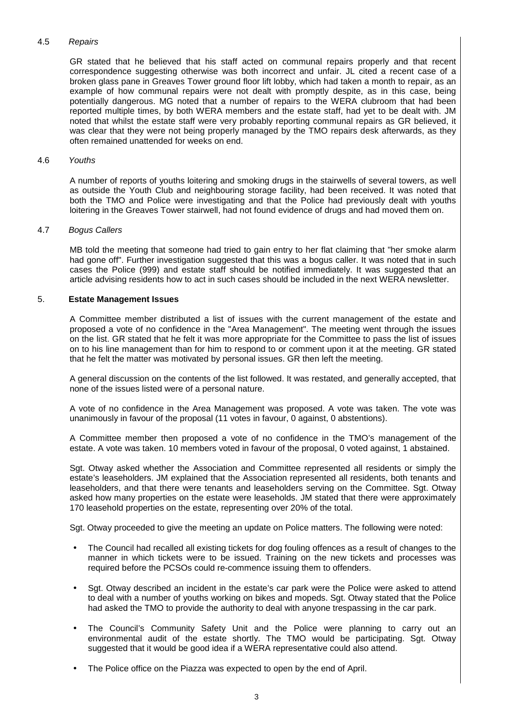## 4.5 Repairs

GR stated that he believed that his staff acted on communal repairs properly and that recent correspondence suggesting otherwise was both incorrect and unfair. JL cited a recent case of a broken glass pane in Greaves Tower ground floor lift lobby, which had taken a month to repair, as an example of how communal repairs were not dealt with promptly despite, as in this case, being potentially dangerous. MG noted that a number of repairs to the WERA clubroom that had been reported multiple times, by both WERA members and the estate staff, had yet to be dealt with. JM noted that whilst the estate staff were very probably reporting communal repairs as GR believed, it was clear that they were not being properly managed by the TMO repairs desk afterwards, as they often remained unattended for weeks on end.

## 4.6 Youths

A number of reports of youths loitering and smoking drugs in the stairwells of several towers, as well as outside the Youth Club and neighbouring storage facility, had been received. It was noted that both the TMO and Police were investigating and that the Police had previously dealt with youths loitering in the Greaves Tower stairwell, had not found evidence of drugs and had moved them on.

#### 4.7 Bogus Callers

MB told the meeting that someone had tried to gain entry to her flat claiming that "her smoke alarm had gone off". Further investigation suggested that this was a bogus caller. It was noted that in such cases the Police (999) and estate staff should be notified immediately. It was suggested that an article advising residents how to act in such cases should be included in the next WERA newsletter.

## 5. **Estate Management Issues**

A Committee member distributed a list of issues with the current management of the estate and proposed a vote of no confidence in the "Area Management". The meeting went through the issues on the list. GR stated that he felt it was more appropriate for the Committee to pass the list of issues on to his line management than for him to respond to or comment upon it at the meeting. GR stated that he felt the matter was motivated by personal issues. GR then left the meeting.

A general discussion on the contents of the list followed. It was restated, and generally accepted, that none of the issues listed were of a personal nature.

A vote of no confidence in the Area Management was proposed. A vote was taken. The vote was unanimously in favour of the proposal (11 votes in favour, 0 against, 0 abstentions).

A Committee member then proposed a vote of no confidence in the TMO's management of the estate. A vote was taken. 10 members voted in favour of the proposal, 0 voted against, 1 abstained.

Sgt. Otway asked whether the Association and Committee represented all residents or simply the estate's leaseholders. JM explained that the Association represented all residents, both tenants and leaseholders, and that there were tenants and leaseholders serving on the Committee. Sgt. Otway asked how many properties on the estate were leaseholds. JM stated that there were approximately 170 leasehold properties on the estate, representing over 20% of the total.

Sgt. Otway proceeded to give the meeting an update on Police matters. The following were noted:

- The Council had recalled all existing tickets for dog fouling offences as a result of changes to the manner in which tickets were to be issued. Training on the new tickets and processes was required before the PCSOs could re-commence issuing them to offenders.
- Sgt. Otway described an incident in the estate's car park were the Police were asked to attend to deal with a number of youths working on bikes and mopeds. Sgt. Otway stated that the Police had asked the TMO to provide the authority to deal with anyone trespassing in the car park.
- The Council's Community Safety Unit and the Police were planning to carry out an environmental audit of the estate shortly. The TMO would be participating. Sgt. Otway suggested that it would be good idea if a WERA representative could also attend.
- The Police office on the Piazza was expected to open by the end of April.